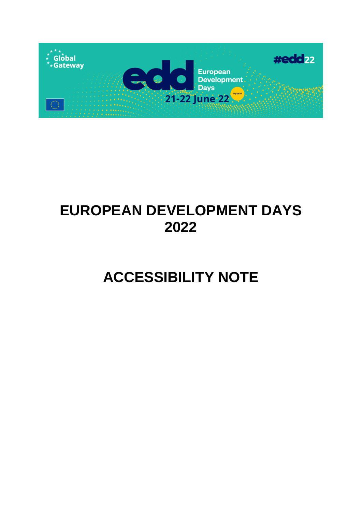

# **EUROPEAN DEVELOPMENT DAYS 2022**

# **ACCESSIBILITY NOTE**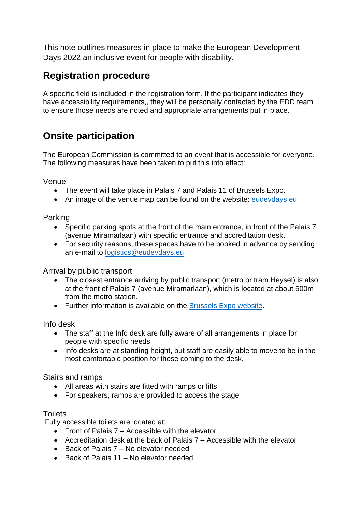This note outlines measures in place to make the European Development Days 2022 an inclusive event for people with disability.

## **Registration procedure**

A specific field is included in the registration form. If the participant indicates they have accessibility requirements,, they will be personally contacted by the EDD team to ensure those needs are noted and appropriate arrangements put in place.

## **Onsite participation**

The European Commission is committed to an event that is accessible for everyone. The following measures have been taken to put this into effect:

Venue

- The event will take place in Palais 7 and Palais 11 of Brussels Expo.
- An image of the venue map can be found on the website: [eudevdays.eu](http://www.eudevdays.eu/)

Parking

- Specific parking spots at the front of the main entrance, in front of the Palais 7 (avenue Miramarlaan) with specific entrance and accreditation desk.
- For security reasons, these spaces have to be booked in advance by sending an e-mail to [logistics@eudevdays.eu](mailto:logistics@eudevdays.eu)

Arrival by public transport

- The closest entrance arriving by public transport (metro or tram Heysel) is also at the front of Palais 7 (avenue Miramarlaan), which is located at about 500m from the metro station.
- Further information is available on the [Brussels Expo website.](https://www.brussels-expo.com/en/visiteurs/public-transportation/)

Info desk

- The staff at the Info desk are fully aware of all arrangements in place for people with specific needs.
- Info desks are at standing height, but staff are easily able to move to be in the most comfortable position for those coming to the desk.

Stairs and ramps

- All areas with stairs are fitted with ramps or lifts
- For speakers, ramps are provided to access the stage

### **Toilets**

Fully accessible toilets are located at:

- Front of Palais 7 Accessible with the elevator
- Accreditation desk at the back of Palais 7 Accessible with the elevator
- Back of Palais 7 No elevator needed
- Back of Palais 11 No elevator needed